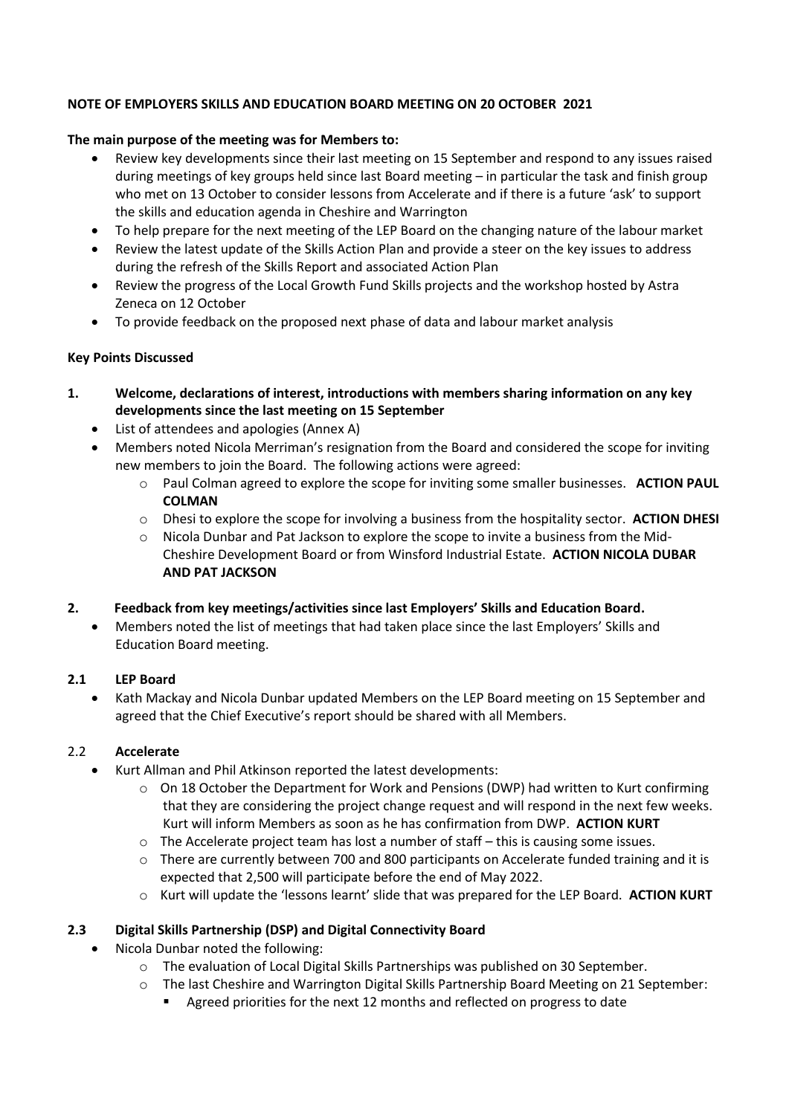#### **NOTE OF EMPLOYERS SKILLS AND EDUCATION BOARD MEETING ON 20 OCTOBER 2021**

#### **The main purpose of the meeting was for Members to:**

- Review key developments since their last meeting on 15 September and respond to any issues raised during meetings of key groups held since last Board meeting – in particular the task and finish group who met on 13 October to consider lessons from Accelerate and if there is a future 'ask' to support the skills and education agenda in Cheshire and Warrington
- To help prepare for the next meeting of the LEP Board on the changing nature of the labour market
- Review the latest update of the Skills Action Plan and provide a steer on the key issues to address during the refresh of the Skills Report and associated Action Plan
- Review the progress of the Local Growth Fund Skills projects and the workshop hosted by Astra Zeneca on 12 October
- To provide feedback on the proposed next phase of data and labour market analysis

#### **Key Points Discussed**

- **1. Welcome, declarations of interest, introductions with members sharing information on any key developments since the last meeting on 15 September**
	- List of attendees and apologies (Annex A)
	- Members noted Nicola Merriman's resignation from the Board and considered the scope for inviting new members to join the Board. The following actions were agreed:
		- o Paul Colman agreed to explore the scope for inviting some smaller businesses. **ACTION PAUL COLMAN**
		- o Dhesi to explore the scope for involving a business from the hospitality sector. **ACTION DHESI**
		- o Nicola Dunbar and Pat Jackson to explore the scope to invite a business from the Mid-Cheshire Development Board or from Winsford Industrial Estate. **ACTION NICOLA DUBAR AND PAT JACKSON**

#### **2. Feedback from key meetings/activities since last Employers' Skills and Education Board.**

• Members noted the list of meetings that had taken place since the last Employers' Skills and Education Board meeting.

#### **2.1 LEP Board**

• Kath Mackay and Nicola Dunbar updated Members on the LEP Board meeting on 15 September and agreed that the Chief Executive's report should be shared with all Members.

### 2.2 **Accelerate**

- Kurt Allman and Phil Atkinson reported the latest developments:
	- $\circ$  On 18 October the Department for Work and Pensions (DWP) had written to Kurt confirming that they are considering the project change request and will respond in the next few weeks. Kurt will inform Members as soon as he has confirmation from DWP. **ACTION KURT**
	- $\circ$  The Accelerate project team has lost a number of staff this is causing some issues.
	- $\circ$  There are currently between 700 and 800 participants on Accelerate funded training and it is expected that 2,500 will participate before the end of May 2022.
	- o Kurt will update the 'lessons learnt' slide that was prepared for the LEP Board. **ACTION KURT**

### **2.3 Digital Skills Partnership (DSP) and Digital Connectivity Board**

- Nicola Dunbar noted the following:
	- o The evaluation of Local Digital Skills Partnerships was published on 30 September.
	- o The last Cheshire and Warrington Digital Skills Partnership Board Meeting on 21 September:
		- Agreed priorities for the next 12 months and reflected on progress to date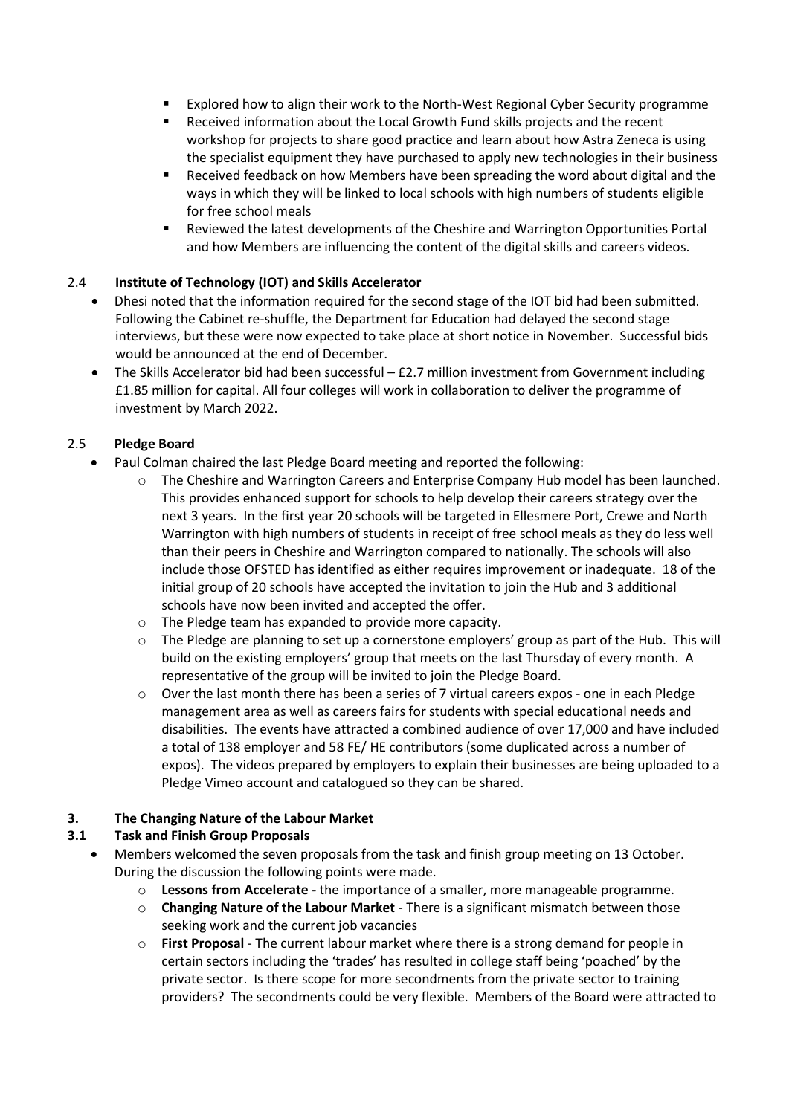- Explored how to align their work to the North-West Regional Cyber Security programme
- Received information about the Local Growth Fund skills projects and the recent workshop for projects to share good practice and learn about how Astra Zeneca is using the specialist equipment they have purchased to apply new technologies in their business
- Received feedback on how Members have been spreading the word about digital and the ways in which they will be linked to local schools with high numbers of students eligible for free school meals
- Reviewed the latest developments of the Cheshire and Warrington Opportunities Portal and how Members are influencing the content of the digital skills and careers videos.

## 2.4 **Institute of Technology (IOT) and Skills Accelerator**

- Dhesi noted that the information required for the second stage of the IOT bid had been submitted. Following the Cabinet re-shuffle, the Department for Education had delayed the second stage interviews, but these were now expected to take place at short notice in November. Successful bids would be announced at the end of December.
- The Skills Accelerator bid had been successful £2.7 million investment from Government including £1.85 million for capital. All four colleges will work in collaboration to deliver the programme of investment by March 2022.

## 2.5 **Pledge Board**

- Paul Colman chaired the last Pledge Board meeting and reported the following:
	- o The Cheshire and Warrington Careers and Enterprise Company Hub model has been launched. This provides enhanced support for schools to help develop their careers strategy over the next 3 years. In the first year 20 schools will be targeted in Ellesmere Port, Crewe and North Warrington with high numbers of students in receipt of free school meals as they do less well than their peers in Cheshire and Warrington compared to nationally. The schools will also include those OFSTED has identified as either requires improvement or inadequate. 18 of the initial group of 20 schools have accepted the invitation to join the Hub and 3 additional schools have now been invited and accepted the offer.
	- o The Pledge team has expanded to provide more capacity.
	- o The Pledge are planning to set up a cornerstone employers' group as part of the Hub. This will build on the existing employers' group that meets on the last Thursday of every month. A representative of the group will be invited to join the Pledge Board.
	- o Over the last month there has been a series of 7 virtual careers expos one in each Pledge management area as well as careers fairs for students with special educational needs and disabilities. The events have attracted a combined audience of over 17,000 and have included a total of 138 employer and 58 FE/ HE contributors (some duplicated across a number of expos). The videos prepared by employers to explain their businesses are being uploaded to a Pledge Vimeo account and catalogued so they can be shared.

### **3. The Changing Nature of the Labour Market**

# **3.1 Task and Finish Group Proposals**

- Members welcomed the seven proposals from the task and finish group meeting on 13 October. During the discussion the following points were made.
	- o **Lessons from Accelerate -** the importance of a smaller, more manageable programme.
	- o **Changing Nature of the Labour Market** There is a significant mismatch between those seeking work and the current job vacancies
	- o **First Proposal** The current labour market where there is a strong demand for people in certain sectors including the 'trades' has resulted in college staff being 'poached' by the private sector. Is there scope for more secondments from the private sector to training providers? The secondments could be very flexible. Members of the Board were attracted to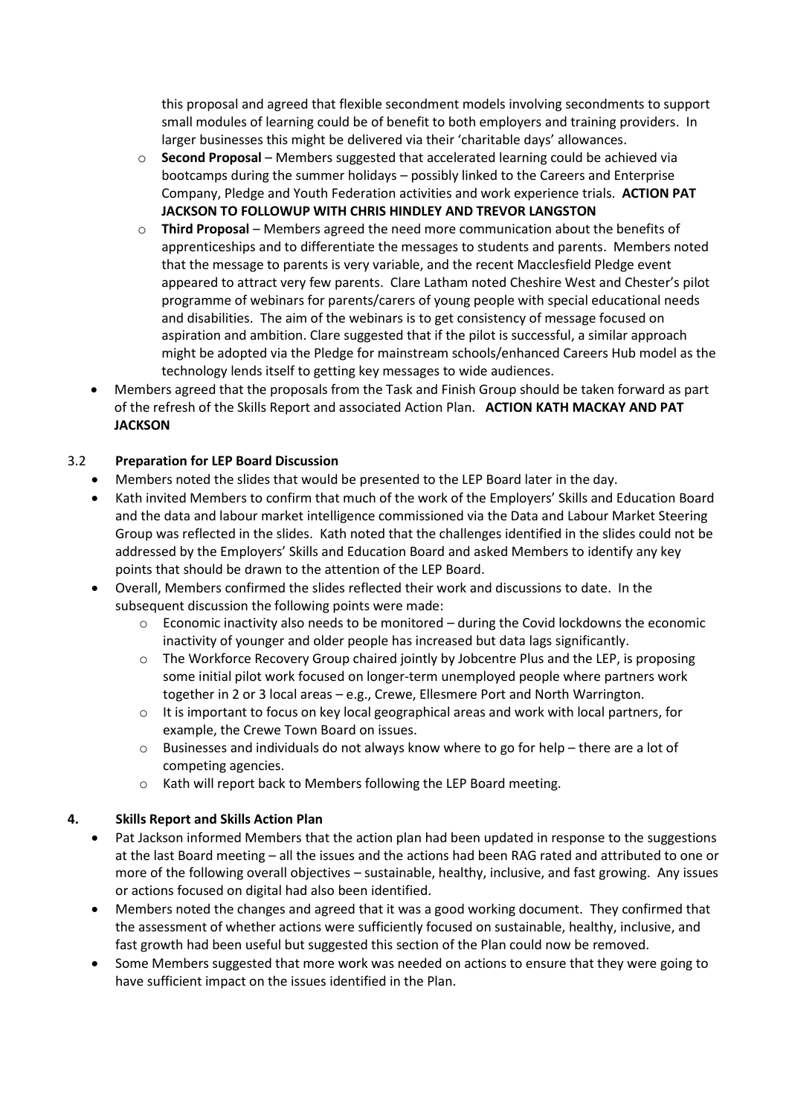this proposal and agreed that flexible secondment models involving secondments to support small modules of learning could be of benefit to both employers and training providers. In larger businesses this might be delivered via their 'charitable days' allowances.

- o **Second Proposal** Members suggested that accelerated learning could be achieved via bootcamps during the summer holidays – possibly linked to the Careers and Enterprise Company, Pledge and Youth Federation activities and work experience trials. **ACTION PAT JACKSON TO FOLLOWUP WITH CHRIS HINDLEY AND TREVOR LANGSTON**
- o **Third Proposal** Members agreed the need more communication about the benefits of apprenticeships and to differentiate the messages to students and parents. Members noted that the message to parents is very variable, and the recent Macclesfield Pledge event appeared to attract very few parents. Clare Latham noted Cheshire West and Chester's pilot programme of webinars for parents/carers of young people with special educational needs and disabilities. The aim of the webinars is to get consistency of message focused on aspiration and ambition. Clare suggested that if the pilot is successful, a similar approach might be adopted via the Pledge for mainstream schools/enhanced Careers Hub model as the technology lends itself to getting key messages to wide audiences.
- Members agreed that the proposals from the Task and Finish Group should be taken forward as part of the refresh of the Skills Report and associated Action Plan. **ACTION KATH MACKAY AND PAT JACKSON**

## 3.2 **Preparation for LEP Board Discussion**

- Members noted the slides that would be presented to the LEP Board later in the day.
- Kath invited Members to confirm that much of the work of the Employers' Skills and Education Board and the data and labour market intelligence commissioned via the Data and Labour Market Steering Group was reflected in the slides. Kath noted that the challenges identified in the slides could not be addressed by the Employers' Skills and Education Board and asked Members to identify any key points that should be drawn to the attention of the LEP Board.
- Overall, Members confirmed the slides reflected their work and discussions to date. In the subsequent discussion the following points were made:
	- $\circ$  Economic inactivity also needs to be monitored during the Covid lockdowns the economic inactivity of younger and older people has increased but data lags significantly.
	- o The Workforce Recovery Group chaired jointly by Jobcentre Plus and the LEP, is proposing some initial pilot work focused on longer-term unemployed people where partners work together in 2 or 3 local areas – e.g., Crewe, Ellesmere Port and North Warrington.
	- $\circ$  It is important to focus on key local geographical areas and work with local partners, for example, the Crewe Town Board on issues.
	- $\circ$  Businesses and individuals do not always know where to go for help there are a lot of competing agencies.
	- o Kath will report back to Members following the LEP Board meeting.

### **4. Skills Report and Skills Action Plan**

- Pat Jackson informed Members that the action plan had been updated in response to the suggestions at the last Board meeting – all the issues and the actions had been RAG rated and attributed to one or more of the following overall objectives – sustainable, healthy, inclusive, and fast growing. Any issues or actions focused on digital had also been identified.
- Members noted the changes and agreed that it was a good working document. They confirmed that the assessment of whether actions were sufficiently focused on sustainable, healthy, inclusive, and fast growth had been useful but suggested this section of the Plan could now be removed.
- Some Members suggested that more work was needed on actions to ensure that they were going to have sufficient impact on the issues identified in the Plan.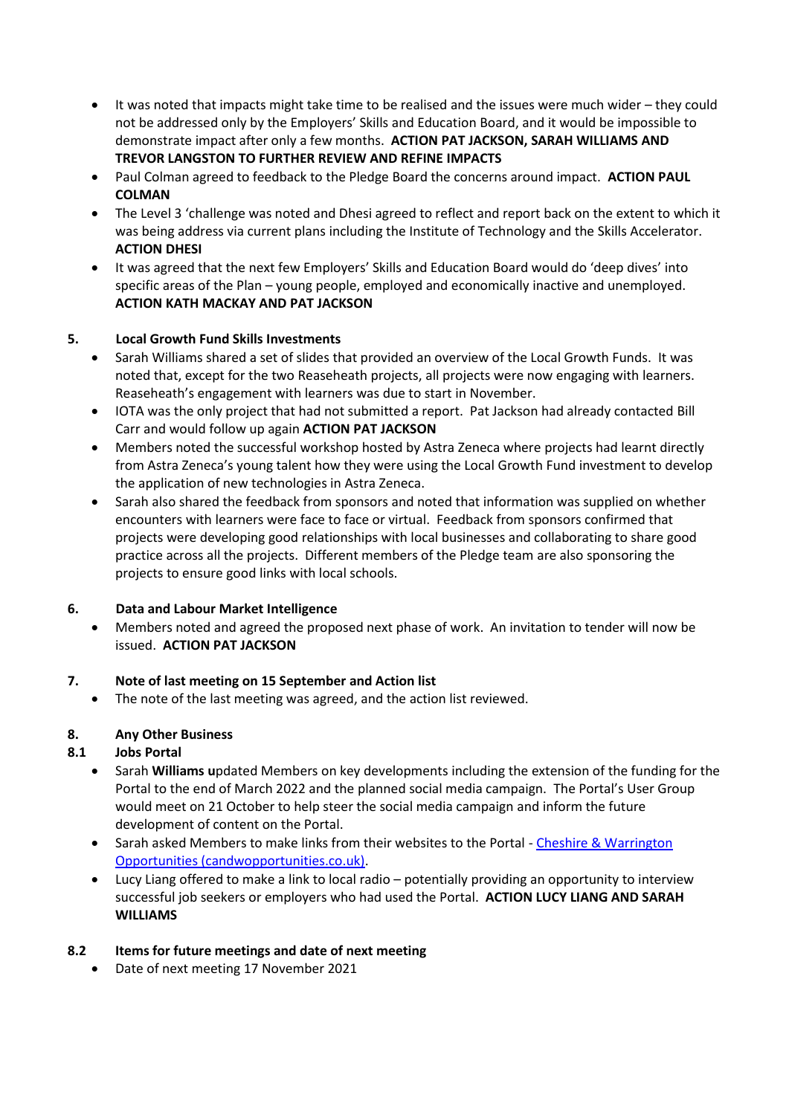- It was noted that impacts might take time to be realised and the issues were much wider they could not be addressed only by the Employers' Skills and Education Board, and it would be impossible to demonstrate impact after only a few months. **ACTION PAT JACKSON, SARAH WILLIAMS AND TREVOR LANGSTON TO FURTHER REVIEW AND REFINE IMPACTS**
- Paul Colman agreed to feedback to the Pledge Board the concerns around impact. **ACTION PAUL COLMAN**
- The Level 3 'challenge was noted and Dhesi agreed to reflect and report back on the extent to which it was being address via current plans including the Institute of Technology and the Skills Accelerator. **ACTION DHESI**
- It was agreed that the next few Employers' Skills and Education Board would do 'deep dives' into specific areas of the Plan – young people, employed and economically inactive and unemployed. **ACTION KATH MACKAY AND PAT JACKSON**

## **5. Local Growth Fund Skills Investments**

- Sarah Williams shared a set of slides that provided an overview of the Local Growth Funds. It was noted that, except for the two Reaseheath projects, all projects were now engaging with learners. Reaseheath's engagement with learners was due to start in November.
- IOTA was the only project that had not submitted a report. Pat Jackson had already contacted Bill Carr and would follow up again **ACTION PAT JACKSON**
- Members noted the successful workshop hosted by Astra Zeneca where projects had learnt directly from Astra Zeneca's young talent how they were using the Local Growth Fund investment to develop the application of new technologies in Astra Zeneca.
- Sarah also shared the feedback from sponsors and noted that information was supplied on whether encounters with learners were face to face or virtual. Feedback from sponsors confirmed that projects were developing good relationships with local businesses and collaborating to share good practice across all the projects. Different members of the Pledge team are also sponsoring the projects to ensure good links with local schools.

# **6. Data and Labour Market Intelligence**

• Members noted and agreed the proposed next phase of work. An invitation to tender will now be issued. **ACTION PAT JACKSON**

### **7. Note of last meeting on 15 September and Action list**

The note of the last meeting was agreed, and the action list reviewed.

### **8. Any Other Business**

# **8.1 Jobs Portal**

- Sarah **Williams u**pdated Members on key developments including the extension of the funding for the Portal to the end of March 2022 and the planned social media campaign. The Portal's User Group would meet on 21 October to help steer the social media campaign and inform the future development of content on the Portal.
- Sarah asked Members to make links from their websites to the Portal [Cheshire & Warrington](https://www.candwopportunities.co.uk/)  [Opportunities \(candwopportunities.co.uk\).](https://www.candwopportunities.co.uk/)
- Lucy Liang offered to make a link to local radio potentially providing an opportunity to interview successful job seekers or employers who had used the Portal. **ACTION LUCY LIANG AND SARAH WILLIAMS**

### **8.2 Items for future meetings and date of next meeting**

• Date of next meeting 17 November 2021